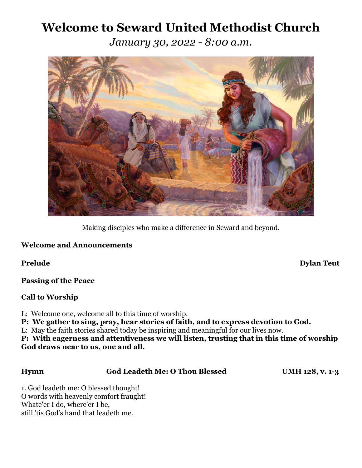# **Welcome to Seward United Methodist Church**

*January 30, 2022 - 8:00 a.m.*



Making disciples who make a difference in Seward and beyond.

# **Welcome and Announcements**

**Passing of the Peace**

# **Call to Worship**

L: Welcome one, welcome all to this time of worship.

**P: We gather to sing, pray, hear stories of faith, and to express devotion to God.**

L: May the faith stories shared today be inspiring and meaningful for our lives now.

**P: With eagerness and attentiveness we will listen, trusting that in this time of worship God draws near to us, one and all.** 

# **Hymn God Leadeth Me: O Thou Blessed UMH 128, v. 1-3**

1. God leadeth me: O blessed thought! O words with heavenly comfort fraught! Whate'er I do, where'er I be, still 'tis God's hand that leadeth me.

**Prelude** Dylan Teut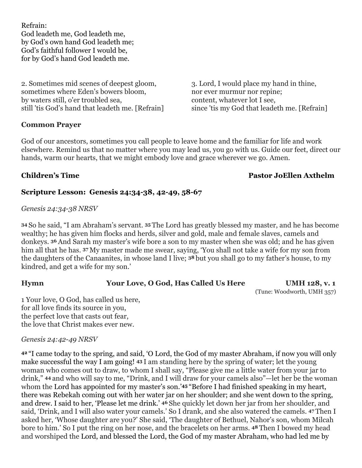Refrain: God leadeth me, God leadeth me, by God's own hand God leadeth me; God's faithful follower I would be, for by God's hand God leadeth me.

2. Sometimes mid scenes of deepest gloom, 3. Lord, I would place my hand in thine, sometimes where Eden's bowers bloom, nor ever murmur nor repine; by waters still, o'er troubled sea, content, whatever lot I see, still 'tis God's hand that leadeth me. [Refrain] since 'tis my God that leadeth me. [Refrain]

### **Common Prayer**

God of our ancestors, sometimes you call people to leave home and the familiar for life and work elsewhere. Remind us that no matter where you may lead us, you go with us. Guide our feet, direct our hands, warm our hearts, that we might embody love and grace wherever we go. Amen.

# **Children's Time Pastor JoEllen Axthelm**

### **Scripture Lesson: Genesis 24:34-38, 42-49, 58-67**

### *Genesis 24:34-38 NRSV*

**<sup>34</sup>**So he said, "I am Abraham's servant. **<sup>35</sup>**The Lord has greatly blessed my master, and he has become wealthy; he has given him flocks and herds, silver and gold, male and female slaves, camels and donkeys. **<sup>36</sup>**And Sarah my master's wife bore a son to my master when she was old; and he has given him all that he has. **<sup>37</sup>**My master made me swear, saying, 'You shall not take a wife for my son from the daughters of the Canaanites, in whose land I live; **<sup>38</sup>**but you shall go to my father's house, to my kindred, and get a wife for my son.'

# **Hymn Your Love, O God, Has Called Us Here UMH 128, v. 1**

(Tune: Woodworth, UMH 357)

1 Your love, O God, has called us here, for all love finds its source in you, the perfect love that casts out fear, the love that Christ makes ever new.

*Genesis 24:42-49 NRSV*

**<sup>42</sup>**"I came today to the spring, and said, 'O Lord, the God of my master Abraham, if now you will only make successful the way I am going! **<sup>43</sup>**I am standing here by the spring of water; let the young woman who comes out to draw, to whom I shall say, "Please give me a little water from your jar to drink," **<sup>44</sup>**and who will say to me, "Drink, and I will draw for your camels also"—let her be the woman whom the Lord has appointed for my master's son.'**45** "Before I had finished speaking in my heart, there was Rebekah coming out with her water jar on her shoulder; and she went down to the spring, and drew. I said to her, 'Please let me drink.' **<sup>46</sup>**She quickly let down her jar from her shoulder, and said, 'Drink, and I will also water your camels.' So I drank, and she also watered the camels. **<sup>47</sup>**Then I asked her, 'Whose daughter are you?' She said, 'The daughter of Bethuel, Nahor's son, whom Milcah bore to him.' So I put the ring on her nose, and the bracelets on her arms. **<sup>48</sup>**Then I bowed my head and worshiped the Lord, and blessed the Lord, the God of my master Abraham, who had led me by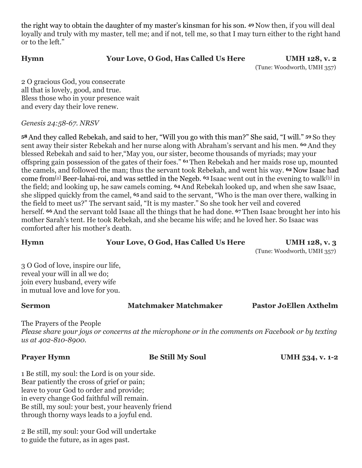the right way to obtain the daughter of my master's kinsman for his son. **<sup>49</sup>**Now then, if you will deal loyally and truly with my master, tell me; and if not, tell me, so that I may turn either to the right hand or to the left."

# **Hymn Your Love, O God, Has Called Us Here UMH 128, v. 2**

# (Tune: Woodworth, UMH 357)

2 O gracious God, you consecrate all that is lovely, good, and true. Bless those who in your presence wait and every day their love renew.

# *Genesis 24:58-67. NRSV*

**<sup>58</sup>**And they called Rebekah, and said to her, "Will you go with this man?" She said, "I will." **<sup>59</sup>**So they sent away their sister Rebekah and her nurse along with Abraham's servant and his men. **<sup>60</sup>**And they blessed Rebekah and said to her,"May you, our sister, become thousands of myriads; may your offspring gain possession of the gates of their foes." **61** Then Rebekah and her maids rose up, mounted the camels, and followed the man; thus the servant took Rebekah, and went his way. **62** Now Isaac had come from[\[a](https://www.biblegateway.com/passage/?search=Genesis+24%3A58-67&version=NRSV#fen-NRSV-654a)] Beer-lahai-roi, and was settled in the Negeb. **<sup>63</sup>**Isaac went out in the evening to walk[\[b\]](https://www.biblegateway.com/passage/?search=Genesis+24%3A58-67&version=NRSV#fen-NRSV-655b) in the field; and looking up, he saw camels coming. **<sup>64</sup>**And Rebekah looked up, and when she saw Isaac, she slipped quickly from the camel, **<sup>65</sup>**and said to the servant, "Who is the man over there, walking in the field to meet us?" The servant said, "It is my master." So she took her veil and covered herself. **<sup>66</sup>**And the servant told Isaac all the things that he had done. **<sup>67</sup>**Then Isaac brought her into his mother Sarah's tent. He took Rebekah, and she became his wife; and he loved her. So Isaac was comforted after his mother's death.

**Hymn Your Love, O God, Has Called Us Here UMH 128, v. 3**

(Tune: Woodworth, UMH 357)

3 O God of love, inspire our life, reveal your will in all we do; join every husband, every wife in mutual love and love for you.

# **Sermon Matchmaker Matchmaker Pastor JoEllen Axthelm**

The Prayers of the People *Please share your joys or concerns at the microphone or in the comments on Facebook or by texting us at 402-810-8900.*

**Prayer Hymn Be Still My Soul UMH 534, v. 1-2** 

1 Be still, my soul: the Lord is on your side. Bear patiently the cross of grief or pain; leave to your God to order and provide; in every change God faithful will remain. Be still, my soul: your best, your heavenly friend through thorny ways leads to a joyful end.

2 Be still, my soul: your God will undertake to guide the future, as in ages past.